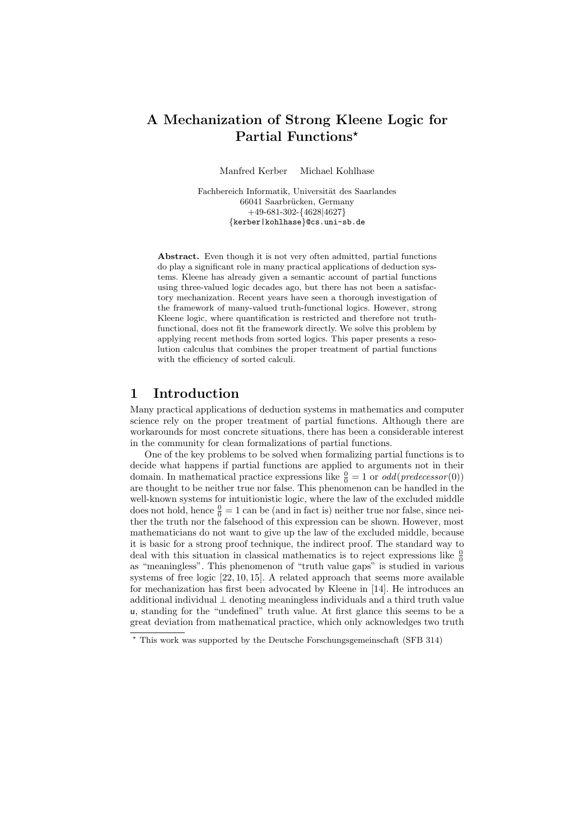# A Mechanization of Strong Kleene Logic for Partial Functions\*

Manfred Kerber Michael Kohlhase

Fachbereich Informatik, Universität des Saarlandes 66041 Saarbrücken, Germany +49-681-302-{4628|4627} {kerber|kohlhase}@cs.uni-sb.de

Abstract. Even though it is not very often admitted, partial functions do play a significant role in many practical applications of deduction systems. Kleene has already given a semantic account of partial functions using three-valued logic decades ago, but there has not been a satisfactory mechanization. Recent years have seen a thorough investigation of the framework of many-valued truth-functional logics. However, strong Kleene logic, where quantification is restricted and therefore not truthfunctional, does not fit the framework directly. We solve this problem by applying recent methods from sorted logics. This paper presents a resolution calculus that combines the proper treatment of partial functions with the efficiency of sorted calculi.

### 1 Introduction

Many practical applications of deduction systems in mathematics and computer science rely on the proper treatment of partial functions. Although there are workarounds for most concrete situations, there has been a considerable interest in the community for clean formalizations of partial functions.

One of the key problems to be solved when formalizing partial functions is to decide what happens if partial functions are applied to arguments not in their domain. In mathematical practice expressions like  $\frac{0}{0} = 1$  or  $odd(predecessary(0))$ are thought to be neither true nor false. This phenomenon can be handled in the well-known systems for intuitionistic logic, where the law of the excluded middle does not hold, hence  $\frac{0}{0} = 1$  can be (and in fact is) neither true nor false, since neither the truth nor the falsehood of this expression can be shown. However, most mathematicians do not want to give up the law of the excluded middle, because it is basic for a strong proof technique, the indirect proof. The standard way to deal with this situation in classical mathematics is to reject expressions like  $\frac{0}{0}$ as "meaningless". This phenomenon of "truth value gaps" is studied in various systems of free logic [22, 10, 15]. A related approach that seems more available for mechanization has first been advocated by Kleene in [14]. He introduces an additional individual ⊥ denoting meaningless individuals and a third truth value u, standing for the "undefined" truth value. At first glance this seems to be a great deviation from mathematical practice, which only acknowledges two truth

<sup>?</sup> This work was supported by the Deutsche Forschungsgemeinschaft (SFB 314)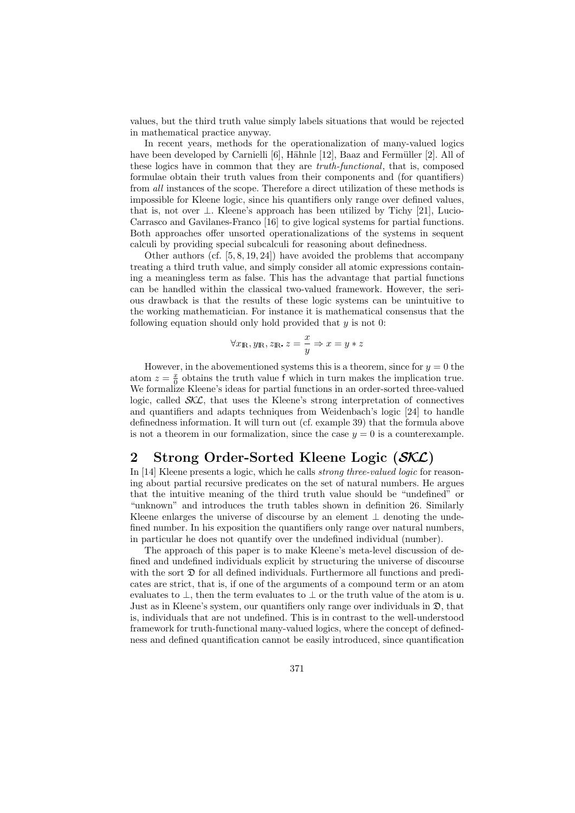values, but the third truth value simply labels situations that would be rejected in mathematical practice anyway.

In recent years, methods for the operationalization of many-valued logics have been developed by Carnielli [6], Hähnle [12], Baaz and Fermüller [2]. All of these logics have in common that they are truth-functional, that is, composed formulae obtain their truth values from their components and (for quantifiers) from all instances of the scope. Therefore a direct utilization of these methods is impossible for Kleene logic, since his quantifiers only range over defined values, that is, not over  $\perp$ . Kleene's approach has been utilized by Tichy [21], Lucio-Carrasco and Gavilanes-Franco [16] to give logical systems for partial functions. Both approaches offer unsorted operationalizations of the systems in sequent calculi by providing special subcalculi for reasoning about definedness.

Other authors (cf. [5, 8, 19, 24]) have avoided the problems that accompany treating a third truth value, and simply consider all atomic expressions containing a meaningless term as false. This has the advantage that partial functions can be handled within the classical two-valued framework. However, the serious drawback is that the results of these logic systems can be unintuitive to the working mathematician. For instance it is mathematical consensus that the following equation should only hold provided that  $y$  is not 0:

$$
\forall x_{\text{IR}}, y_{\text{IR}}, z_{\text{IR}} \text{ } z = \frac{x}{y} \Rightarrow x = y * z
$$

However, in the abovementioned systems this is a theorem, since for  $y = 0$  the atom  $z = \frac{x}{0}$  obtains the truth value f which in turn makes the implication true. We formalize Kleene's ideas for partial functions in an order-sorted three-valued logic, called  $\mathcal{SKL}$ , that uses the Kleene's strong interpretation of connectives and quantifiers and adapts techniques from Weidenbach's logic [24] to handle definedness information. It will turn out (cf. example 39) that the formula above is not a theorem in our formalization, since the case  $y = 0$  is a counterexample.

## 2 Strong Order-Sorted Kleene Logic  $(SKL)$

In [14] Kleene presents a logic, which he calls *strong three-valued logic* for reasoning about partial recursive predicates on the set of natural numbers. He argues that the intuitive meaning of the third truth value should be "undefined" or "unknown" and introduces the truth tables shown in definition 26. Similarly Kleene enlarges the universe of discourse by an element  $\perp$  denoting the undefined number. In his exposition the quantifiers only range over natural numbers, in particular he does not quantify over the undefined individual (number).

The approach of this paper is to make Kleene's meta-level discussion of defined and undefined individuals explicit by structuring the universe of discourse with the sort  $\mathfrak D$  for all defined individuals. Furthermore all functions and predicates are strict, that is, if one of the arguments of a compound term or an atom evaluates to  $\perp$ , then the term evaluates to  $\perp$  or the truth value of the atom is u. Just as in Kleene's system, our quantifiers only range over individuals in  $\mathfrak{D}$ , that is, individuals that are not undefined. This is in contrast to the well-understood framework for truth-functional many-valued logics, where the concept of definedness and defined quantification cannot be easily introduced, since quantification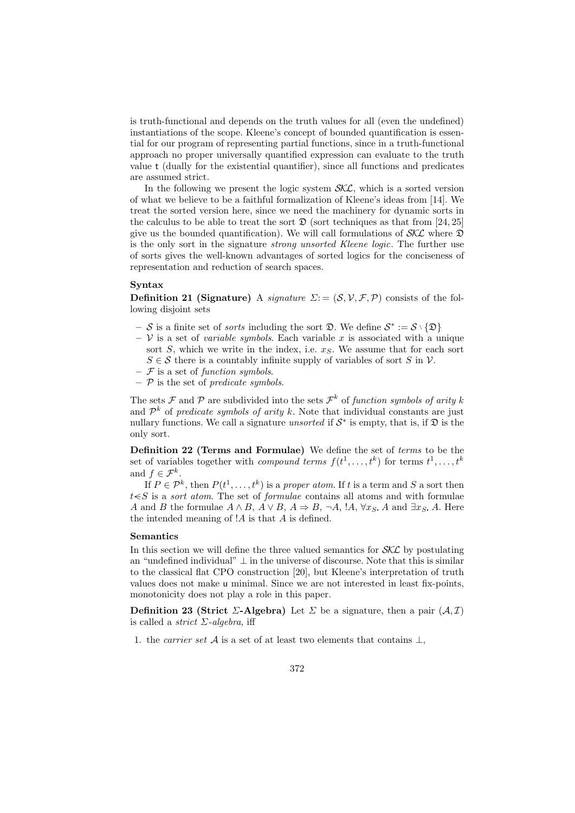is truth-functional and depends on the truth values for all (even the undefined) instantiations of the scope. Kleene's concept of bounded quantification is essential for our program of representing partial functions, since in a truth-functional approach no proper universally quantified expression can evaluate to the truth value t (dually for the existential quantifier), since all functions and predicates are assumed strict.

In the following we present the logic system  $\mathcal{SKL}$ , which is a sorted version of what we believe to be a faithful formalization of Kleene's ideas from [14]. We treat the sorted version here, since we need the machinery for dynamic sorts in the calculus to be able to treat the sort  $\mathfrak D$  (sort techniques as that from [24, 25] give us the bounded quantification). We will call formulations of  $\mathcal{SKL}$  where  $\mathfrak D$ is the only sort in the signature strong unsorted Kleene logic. The further use of sorts gives the well-known advantages of sorted logics for the conciseness of representation and reduction of search spaces.

#### Syntax

**Definition 21 (Signature)** A *signature*  $\Sigma = (\mathcal{S}, \mathcal{V}, \mathcal{F}, \mathcal{P})$  consists of the following disjoint sets

- $-$  S is a finite set of *sorts* including the sort  $\mathfrak{D}$ . We define  $S^* := S \setminus \{ \mathfrak{D} \}$
- $V$  is a set of *variable symbols*. Each variable x is associated with a unique sort  $S$ , which we write in the index, i.e.  $x_S$ . We assume that for each sort  $S \in \mathcal{S}$  there is a countably infinite supply of variables of sort S in V.
- $-$  F is a set of function symbols.
- $P$  is the set of *predicate symbols*.

The sets F and P are subdivided into the sets  $\mathcal{F}^k$  of function symbols of arity k and  $\mathcal{P}^k$  of predicate symbols of arity k. Note that individual constants are just nullary functions. We call a signature *unsorted* if  $S^*$  is empty, that is, if  $\mathfrak{D}$  is the only sort.

Definition 22 (Terms and Formulae) We define the set of terms to be the set of variables together with *compound terms*  $f(t^1, \ldots, t^k)$  for terms  $t^1, \ldots, t^k$ and  $f \in \mathcal{F}^k$ .

If  $P \in \mathcal{P}^k$ , then  $P(t^1, \ldots, t^k)$  is a proper atom. If t is a term and S a sort then  $t \leq S$  is a *sort atom*. The set of *formulae* contains all atoms and with formulae A and B the formulae  $A \wedge B$ ,  $A \vee B$ ,  $A \Rightarrow B$ ,  $\neg A$ ,  $\exists A$ ,  $\forall x_S$ , A and  $\exists x_S$ , A. Here the intended meaning of  $A$  is that  $A$  is defined.

#### Semantics

In this section we will define the three valued semantics for  $\mathcal{SKL}$  by postulating an "undefined individual"  $\perp$  in the universe of discourse. Note that this is similar to the classical flat CPO construction [20], but Kleene's interpretation of truth values does not make u minimal. Since we are not interested in least fix-points, monotonicity does not play a role in this paper.

Definition 23 (Strict  $\Sigma$ -Algebra) Let  $\Sigma$  be a signature, then a pair  $(A, \mathcal{I})$ is called a *strict*  $\Sigma$ -algebra, iff

1. the *carrier set* A is a set of at least two elements that contains  $\perp$ ,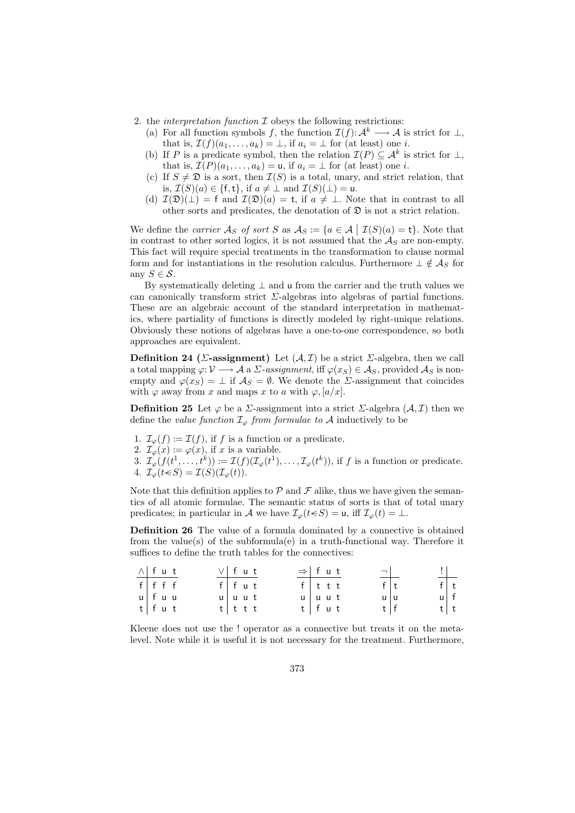- 2. the *interpretation function*  $\mathcal I$  obeys the following restrictions:
	- (a) For all function symbols f, the function  $\mathcal{I}(f): \mathcal{A}^k \longrightarrow \mathcal{A}$  is strict for  $\bot$ , that is,  $\mathcal{I}(f)(a_1, \ldots, a_k) = \bot$ , if  $a_i = \bot$  for (at least) one *i*.
	- (b) If P is a predicate symbol, then the relation  $\mathcal{I}(P) \subseteq A^k$  is strict for  $\perp$ , that is,  $\mathcal{I}(P)(a_1, \ldots, a_k) = \mathsf{u}$ , if  $a_i = \perp$  for (at least) one *i*.
	- (c) If  $S \neq \mathfrak{D}$  is a sort, then  $\mathcal{I}(S)$  is a total, unary, and strict relation, that is,  $\mathcal{I}(S)(a) \in \{\mathsf{f},\mathsf{t}\},\$  if  $a \neq \bot$  and  $\mathcal{I}(S)(\bot) = \mathsf{u}$ .
	- (d)  $\mathcal{I}(\mathfrak{D})(\perp) = f$  and  $\mathcal{I}(\mathfrak{D})(a) = t$ , if  $a \neq \perp$ . Note that in contrast to all other sorts and predicates, the denotation of  $\mathfrak D$  is not a strict relation.

We define the *carrier*  $\mathcal{A}_S$  of sort S as  $\mathcal{A}_S := \{a \in \mathcal{A} \mid \mathcal{I}(S)(a) = \mathsf{t}\}.$  Note that in contrast to other sorted logics, it is not assumed that the  $A<sub>S</sub>$  are non-empty. This fact will require special treatments in the transformation to clause normal form and for instantiations in the resolution calculus. Furthermore  $\perp \notin \mathcal{A}_S$  for any  $S \in \mathcal{S}$ .

By systematically deleting  $\perp$  and u from the carrier and the truth values we can canonically transform strict  $\Sigma$ -algebras into algebras of partial functions. These are an algebraic account of the standard interpretation in mathematics, where partiality of functions is directly modeled by right-unique relations. Obviously these notions of algebras have a one-to-one correspondence, so both approaches are equivalent.

**Definition 24 (Σ-assignment)** Let  $(A, \mathcal{I})$  be a strict  $\Sigma$ -algebra, then we call a total mapping  $\varphi: \mathcal{V} \longrightarrow \mathcal{A}$  a  $\Sigma$ -assignment, iff  $\varphi(x_S) \in \mathcal{A}_S$ , provided  $\mathcal{A}_S$  is nonempty and  $\varphi(x_S) = \bot$  if  $\mathcal{A}_S = \emptyset$ . We denote the *Σ*-assignment that coincides with  $\varphi$  away from x and maps x to a with  $\varphi$ ,  $[a/x]$ .

**Definition 25** Let  $\varphi$  be a *Σ*-assignment into a strict *Σ*-algebra (*A, I*) then we define the value function  $\mathcal{I}_{\varphi}$  from formulae to A inductively to be

1.  $\mathcal{I}_{\varphi}(f) := \mathcal{I}(f)$ , if f is a function or a predicate. 2.  $\mathcal{I}_{\varphi}(x) := \varphi(x)$ , if x is a variable. 3.  $\mathcal{I}_{\varphi}(f(t^1,\ldots,t^k)) := \mathcal{I}(f)(\mathcal{I}_{\varphi}(t^1),\ldots,\mathcal{I}_{\varphi}(t^k)),$  if f is a function or predicate. 4.  $\mathcal{I}_{\varphi}(t\in S) = \mathcal{I}(S)(\mathcal{I}_{\varphi}(t)).$ 

Note that this definition applies to  $P$  and  $\mathcal F$  alike, thus we have given the semantics of all atomic formulae. The semantic status of sorts is that of total unary predicates; in particular in A we have  $\mathcal{I}_{\varphi}(t\leq S) = u$ , iff  $\mathcal{I}_{\varphi}(t) = \bot$ .

Definition 26 The value of a formula dominated by a connective is obtained from the value(s) of the subformula(e) in a truth-functional way. Therefore it suffices to define the truth tables for the connectives:

| $\wedge$ fut |  |  | $V$ fut   |  | $\Rightarrow$ fut |               |  |               |                                                                                |            |         |
|--------------|--|--|-----------|--|-------------------|---------------|--|---------------|--------------------------------------------------------------------------------|------------|---------|
| $f$ f f f f  |  |  | $f$ f ut  |  |                   | $f$ ttt       |  | $\frac{7}{f}$ |                                                                                |            |         |
| $u$ fuu      |  |  | $u$ u u t |  |                   | $u$   $u$ u t |  |               | $\begin{array}{c} u \\ t \end{array}$ of $\begin{array}{c} u \\ f \end{array}$ | $u \mid f$ |         |
| $t$ fut      |  |  | $t$ t t t |  |                   | $t$ fut       |  |               |                                                                                |            | $t$ $t$ |

Kleene does not use the ! operator as a connective but treats it on the metalevel. Note while it is useful it is not necessary for the treatment. Furthermore,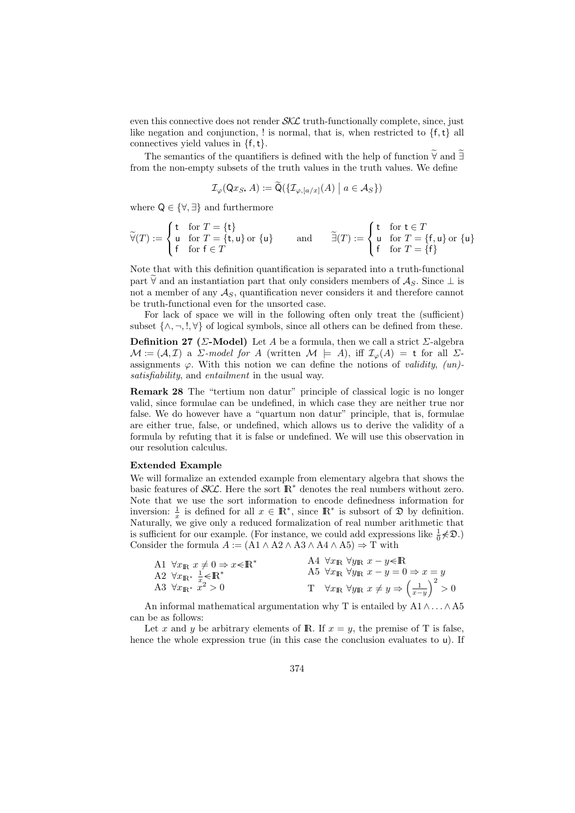even this connective does not render  $\mathcal{SKL}$  truth-functionally complete, since, just like negation and conjunction, ! is normal, that is, when restricted to  $\{f, t\}$  all connectives yield values in  $\{f, t\}.$ 

The semantics of the quantifiers is defined with the help of function  $\widetilde{\mathbb{Y}}$  and  $\widetilde{\exists}$ from the non-empty subsets of the truth values in the truth values. We define

$$
\mathcal{I}_{\varphi}(\mathsf{Q}x_S, A) := \mathsf{Q}(\{\mathcal{I}_{\varphi, [a/x]}(A) \mid a \in \mathcal{A}_S\})
$$

where  $Q \in \{ \forall, \exists \}$  and furthermore

$$
\widetilde{\forall}(T) := \begin{cases} \mathtt{t} & \text{for } T = \mathtt{\{t\}} \\ \mathtt{u} & \text{for } T = \mathtt{\{t,u\}} \text{ or } \mathtt{\{u\}} \\ \mathtt{f} & \text{for } \mathtt{f} \in T \end{cases} \quad \text{and} \quad \widetilde{\exists}(T) := \begin{cases} \mathtt{t} & \text{for } \mathtt{t} \in T \\ \mathtt{u} & \text{for } T = \mathtt{\{f,u\}} \text{ or } \mathtt{\{u\}} \\ \mathtt{f} & \text{for } T = \mathtt{\{f\}} \end{cases}
$$

Note that with this definition quantification is separated into a truth-functional part  $\forall$  and an instantiation part that only considers members of  $\mathcal{A}_S$ . Since  $\bot$  is not a member of any  $\mathcal{A}_{\mathcal{S}}$ , quantification never considers it and therefore cannot be truth-functional even for the unsorted case.

For lack of space we will in the following often only treat the (sufficient) subset  $\{\wedge, \neg, !, \forall\}$  of logical symbols, since all others can be defined from these.

**Definition 27 (Σ-Model)** Let A be a formula, then we call a strict  $\Sigma$ -algebra  $\mathcal{M} := (\mathcal{A}, \mathcal{I})$  a  $\Sigma$ -model for A (written  $\mathcal{M} \models A$ ), iff  $\mathcal{I}_{\varphi}(A) = t$  for all  $\Sigma$ assignments  $\varphi$ . With this notion we can define the notions of validity, (un)satisfiability, and entailment in the usual way.

Remark 28 The "tertium non datur" principle of classical logic is no longer valid, since formulae can be undefined, in which case they are neither true nor false. We do however have a "quartum non datur" principle, that is, formulae are either true, false, or undefined, which allows us to derive the validity of a formula by refuting that it is false or undefined. We will use this observation in our resolution calculus.

#### Extended Example

We will formalize an extended example from elementary algebra that shows the basic features of  $\mathcal{SKL}$ . Here the sort  $\mathbb{R}^*$  denotes the real numbers without zero. Note that we use the sort information to encode definedness information for inversion:  $\frac{1}{x}$  is defined for all  $x \in \mathbb{R}^*$ , since  $\mathbb{R}^*$  is subsort of  $\mathfrak D$  by definition. Naturally, we give only a reduced formalization of real number arithmetic that is sufficient for our example. (For instance, we could add expressions like  $\frac{1}{0} \neq \mathfrak{D}$ .) Consider the formula  $A := (A1 \land A2 \land A3 \land A4 \land A5) \Rightarrow T$  with

| A1 $\forall x_{\mathbb{R}} x \neq 0 \Rightarrow x \in \mathbb{R}^*$ | A4 $\forall x_{\mathbb{R}} \forall y_{\mathbb{R}} x - y \in \mathbb{R}$                                 |
|---------------------------------------------------------------------|---------------------------------------------------------------------------------------------------------|
| A2 $\forall x_{\mathbb{R}^*} \ \frac{1}{x} \in \mathbb{R}^*$        | A5 $\forall x_{\mathbb{R}} \forall y_{\mathbb{R}} x - y = 0 \Rightarrow x = y$                          |
| A3 $\forall x_{\mathbb{R}^*}^{\mathbb{R}^*} x^2 > 0$                | T $\forall x_{\mathbb{R}} \forall y_{\mathbb{R}} x \neq y \Rightarrow \left(\frac{1}{x-y}\right)^2 > 0$ |

An informal mathematical argumentation why T is entailed by  $A1 \wedge \ldots \wedge A5$ can be as follows:

Let x and y be arbitrary elements of **R**. If  $x = y$ , the premise of T is false, hence the whole expression true (in this case the conclusion evaluates to u). If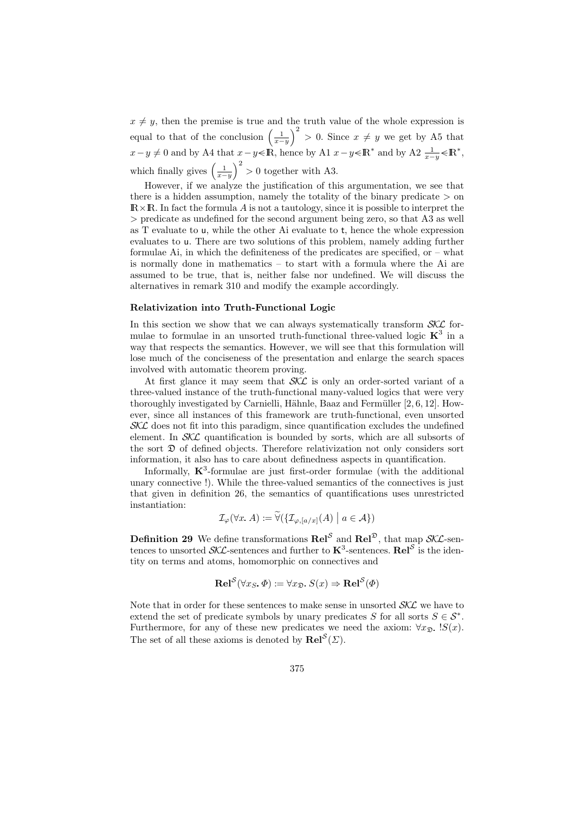$x \neq y$ , then the premise is true and the truth value of the whole expression is equal to that of the conclusion  $\left(\frac{1}{x-y}\right)^2 > 0$ . Since  $x \neq y$  we get by A5 that  $x-y \neq 0$  and by A4 that  $x-y \in \mathbb{R}$ , hence by A1  $x-y \in \mathbb{R}^*$  and by A2  $\frac{1}{x-y} \in \mathbb{R}^*$ , which finally gives  $\left(\frac{1}{x-y}\right)^2 > 0$  together with A3.

However, if we analyze the justification of this argumentation, we see that there is a hidden assumption, namely the totality of the binary predicate  $>$  on  $\mathbb{R}\times\mathbb{R}$ . In fact the formula A is not a tautology, since it is possible to interpret the > predicate as undefined for the second argument being zero, so that A3 as well as T evaluate to u, while the other Ai evaluate to t, hence the whole expression evaluates to u. There are two solutions of this problem, namely adding further formulae Ai, in which the definiteness of the predicates are specified, or – what is normally done in mathematics – to start with a formula where the Ai are assumed to be true, that is, neither false nor undefined. We will discuss the alternatives in remark 310 and modify the example accordingly.

#### Relativization into Truth-Functional Logic

In this section we show that we can always systematically transform  $\mathcal{SKL}$  formulae to formulae in an unsorted truth-functional three-valued logic  $\mathbf{K}^3$  in a way that respects the semantics. However, we will see that this formulation will lose much of the conciseness of the presentation and enlarge the search spaces involved with automatic theorem proving.

At first glance it may seem that  $SKC$  is only an order-sorted variant of a three-valued instance of the truth-functional many-valued logics that were very thoroughly investigated by Carnielli, Hähnle, Baaz and Fermüller  $[2, 6, 12]$ . However, since all instances of this framework are truth-functional, even unsorted  $SKL$  does not fit into this paradigm, since quantification excludes the undefined element. In SKL quantification is bounded by sorts, which are all subsorts of the sort D of defined objects. Therefore relativization not only considers sort information, it also has to care about definedness aspects in quantification.

Informally,  $K^3$ -formulae are just first-order formulae (with the additional unary connective !). While the three-valued semantics of the connectives is just that given in definition 26, the semantics of quantifications uses unrestricted instantiation:

$$
\mathcal{I}_{\varphi}(\forall x \; A) := \widetilde{\forall} (\{\mathcal{I}_{\varphi,[a/x]}(A) \; \big| \; a \in \mathcal{A}\})
$$

**Definition 29** We define transformations  $\text{Rel}^{\mathcal{S}}$  and  $\text{Rel}^{\mathcal{D}}$ , that map  $\mathcal{SKL}$ -sentences to unsorted  $\mathcal{SKL}$ -sentences and further to  $\mathbf{K}^3$ -sentences.  $\mathbf{Rel}^{\mathcal{S}}$  is the identity on terms and atoms, homomorphic on connectives and

$$
\mathbf{Rel}^{\mathcal{S}}(\forall x_{S} \ \Phi) := \forall x_{\mathfrak{D}} \ S(x) \Rightarrow \mathbf{Rel}^{\mathcal{S}}(\Phi)
$$

Note that in order for these sentences to make sense in unsorted  $\mathcal{SKL}$  we have to extend the set of predicate symbols by unary predicates S for all sorts  $S \in \mathcal{S}^*$ . Furthermore, for any of these new predicates we need the axiom:  $\forall x_{\mathfrak{D}}$ . IS(x). The set of all these axioms is denoted by  $\text{Rel}^{\mathcal{S}}(\Sigma)$ .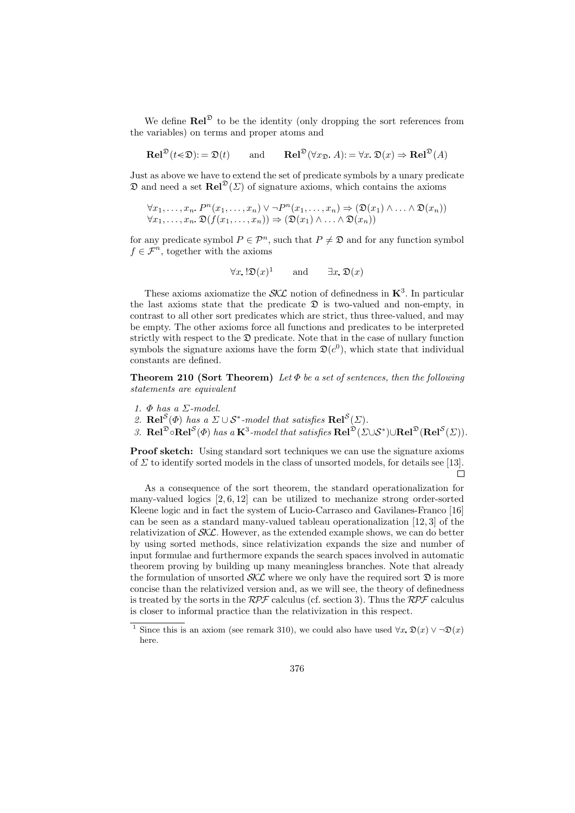We define  $\text{Rel}^{\mathfrak{D}}$  to be the identity (only dropping the sort references from the variables) on terms and proper atoms and

$$
\mathbf{Rel}^{\mathfrak{D}}(t \leq \mathfrak{D}) = \mathfrak{D}(t) \qquad \text{and} \qquad \mathbf{Rel}^{\mathfrak{D}}(\forall x_{\mathfrak{D}} \cdot A) = \forall x \cdot \mathfrak{D}(x) \Rightarrow \mathbf{Rel}^{\mathfrak{D}}(A)
$$

Just as above we have to extend the set of predicate symbols by a unary predicate  $\mathfrak D$  and need a set  $\text{Rel}^{\mathfrak D}(\Sigma)$  of signature axioms, which contains the axioms

$$
\forall x_1, \ldots, x_n \ P^n(x_1, \ldots, x_n) \lor \neg P^n(x_1, \ldots, x_n) \Rightarrow (\mathfrak{D}(x_1) \land \ldots \land \mathfrak{D}(x_n)) \forall x_1, \ldots, x_n \ \mathfrak{D}(f(x_1, \ldots, x_n)) \Rightarrow (\mathfrak{D}(x_1) \land \ldots \land \mathfrak{D}(x_n))
$$

for any predicate symbol  $P \in \mathcal{P}^n$ , such that  $P \neq \mathfrak{D}$  and for any function symbol  $f \in \mathcal{F}^n$ , together with the axioms

$$
\forall x \ \mathbf{!} \mathfrak{D}(x)^1 \qquad \text{and} \qquad \exists x \ \mathfrak{D}(x)
$$

These axioms axiomatize the  $\mathcal{SKL}$  notion of definedness in  $\mathbf{K}^3$ . In particular the last axioms state that the predicate  $\mathfrak D$  is two-valued and non-empty, in contrast to all other sort predicates which are strict, thus three-valued, and may be empty. The other axioms force all functions and predicates to be interpreted strictly with respect to the  $\mathfrak{D}$  predicate. Note that in the case of nullary function symbols the signature axioms have the form  $\mathfrak{D}(c^0)$ , which state that individual constants are defined.

**Theorem 210 (Sort Theorem)** Let  $\Phi$  be a set of sentences, then the following statements are equivalent

- 1.  $\Phi$  has a  $\Sigma$ -model.
- 2. Rel<sup>S</sup>( $\Phi$ ) has a  $\Sigma \cup S^*$ -model that satisfies Rel<sup>S</sup>( $\Sigma$ ).
- 3. Rel<sup> $\mathfrak{D}_0$ </sup>Rel<sup>S</sup>( $\Phi$ ) has a K<sup>3</sup>-model that satisfies Rel $\mathfrak{D}(\Sigma \cup S^*) \cup \text{Rel}^{\mathfrak{D}}(\text{Rel}^S(\Sigma)).$

**Proof sketch:** Using standard sort techniques we can use the signature axioms of  $\Sigma$  to identify sorted models in the class of unsorted models, for details see [13].  $\Box$ 

As a consequence of the sort theorem, the standard operationalization for many-valued logics [2, 6, 12] can be utilized to mechanize strong order-sorted Kleene logic and in fact the system of Lucio-Carrasco and Gavilanes-Franco [16] can be seen as a standard many-valued tableau operationalization [12, 3] of the relativization of SKL. However, as the extended example shows, we can do better by using sorted methods, since relativization expands the size and number of input formulae and furthermore expands the search spaces involved in automatic theorem proving by building up many meaningless branches. Note that already the formulation of unsorted  $\mathcal{SKL}$  where we only have the required sort  $\mathfrak D$  is more concise than the relativized version and, as we will see, the theory of definedness is treated by the sorts in the  $RPF$  calculus (cf. section 3). Thus the  $RPF$  calculus is closer to informal practice than the relativization in this respect.

<sup>&</sup>lt;sup>1</sup> Since this is an axiom (see remark 310), we could also have used  $\forall x, \mathfrak{D}(x) \vee \neg \mathfrak{D}(x)$ here.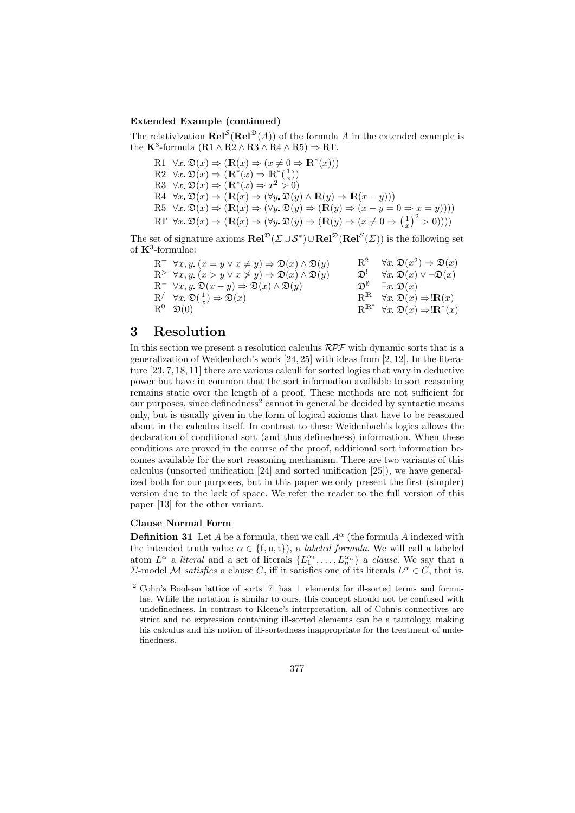### Extended Example (continued)

The relativization  $\text{Rel}^{\mathcal{S}}(\text{Rel}^{\mathcal{D}}(A))$  of the formula A in the extended example is the  $\mathbf{K}^3$ -formula  $(\mathrm{R1} \wedge \mathrm{R2} \wedge \mathrm{R3} \wedge \mathrm{R4} \wedge \mathrm{R5}) \Rightarrow \mathrm{RT}.$ 

R1  $\forall x \ \mathfrak{D}(x) \Rightarrow (\mathbb{R}(x) \Rightarrow (x \neq 0 \Rightarrow \mathbb{R}^*(x)))$ R2  $\forall x \ \mathfrak{D}(x) \Rightarrow (\mathbb{R}^*(x) \Rightarrow \mathbb{R}^*(\frac{1}{x}))$ R3  $\forall x \ \mathfrak{D}(x) \Rightarrow (\mathbb{R}^*(x) \Rightarrow x^2 > 0)$  $R4 \quad \forall x \ \mathfrak{D}(x) \Rightarrow (\mathbb{R}(x) \Rightarrow (\forall y \ \mathfrak{D}(y) \land \mathbb{R}(y) \Rightarrow \mathbb{R}(x-y)))$ R5  $\forall x \ \mathfrak{D}(x) \Rightarrow (\mathbb{R}(x) \Rightarrow (\forall y \ \mathfrak{D}(y) \Rightarrow (\mathbb{R}(y) \Rightarrow (x - y = 0 \Rightarrow x = y))))$ RT  $\forall x \ \mathfrak{D}(x) \Rightarrow (\mathbb{R}(x) \Rightarrow (\forall y \ \mathfrak{D}(y) \Rightarrow (\mathbb{R}(y) \Rightarrow (x \neq 0 \Rightarrow (\frac{1}{x})^2 > 0))))$ 

The set of signature axioms  $\text{Rel}^{\mathfrak{D}}(\Sigma \cup S^*) \cup \text{Rel}^{\mathfrak{D}}(\text{Rel}^{\mathcal{S}}(\Sigma))$  is the following set of  $\mathbf{K}^3$ -formulae:

| $R^= \forall x, y \ (x = y \lor x \neq y) \Rightarrow \mathfrak{D}(x) \land \mathfrak{D}(y)$         |                              | $\forall x \ \mathfrak{D}(x^2) \Rightarrow \mathfrak{D}(x)$                           |
|------------------------------------------------------------------------------------------------------|------------------------------|---------------------------------------------------------------------------------------|
| $R^{\geq}\forall x, y \ (x > y \lor x \not\geq y) \Rightarrow \mathfrak{D}(x) \land \mathfrak{D}(y)$ | $\mathfrak{D}^!$             | $\forall x \ \mathfrak{D}(x) \vee \neg \mathfrak{D}(x)$                               |
| $R^ \forall x, y \ \mathfrak{D}(x-y) \Rightarrow \mathfrak{D}(x) \wedge \mathfrak{D}(y)$             | $\mathfrak{D}^{\varnothing}$ | $\exists x \ \mathfrak{D}(x)$                                                         |
| $R' \quad \forall x \ \mathfrak{D}(\frac{1}{x}) \Rightarrow \mathfrak{D}(x)$                         |                              | $R^{IR}$ $\forall x \ \mathfrak{D}(x) \Rightarrow IR(x)$                              |
| $\mathrm{R}^{0}$ $\mathfrak{D}(0)$                                                                   |                              | $\mathbb{R}^{\mathbb{R}^*}$ $\forall x \ \mathfrak{D}(x) \Rightarrow \mathbb{R}^*(x)$ |

## 3 Resolution

In this section we present a resolution calculus  $\mathcal{RPF}$  with dynamic sorts that is a generalization of Weidenbach's work [24, 25] with ideas from [2, 12]. In the literature [23, 7, 18, 11] there are various calculi for sorted logics that vary in deductive power but have in common that the sort information available to sort reasoning remains static over the length of a proof. These methods are not sufficient for our purposes, since definedness<sup>2</sup> cannot in general be decided by syntactic means only, but is usually given in the form of logical axioms that have to be reasoned about in the calculus itself. In contrast to these Weidenbach's logics allows the declaration of conditional sort (and thus definedness) information. When these conditions are proved in the course of the proof, additional sort information becomes available for the sort reasoning mechanism. There are two variants of this calculus (unsorted unification [24] and sorted unification [25]), we have generalized both for our purposes, but in this paper we only present the first (simpler) version due to the lack of space. We refer the reader to the full version of this paper [13] for the other variant.

### Clause Normal Form

**Definition 31** Let A be a formula, then we call  $A^{\alpha}$  (the formula A indexed with the intended truth value  $\alpha \in \{\mathsf{f}, \mathsf{u}, \mathsf{t}\}\)$ , a *labeled formula*. We will call a labeled atom  $L^{\alpha}$  a *literal* and a set of literals  $\{L_1^{\alpha_1}, \ldots, L_n^{\alpha_n}\}$  a *clause*. We say that a Σ-model M satisfies a clause C, iff it satisfies one of its literals  $L^{\alpha} \in C$ , that is,

<sup>&</sup>lt;sup>2</sup> Cohn's Boolean lattice of sorts [7] has  $\perp$  elements for ill-sorted terms and formulae. While the notation is similar to ours, this concept should not be confused with undefinedness. In contrast to Kleene's interpretation, all of Cohn's connectives are strict and no expression containing ill-sorted elements can be a tautology, making his calculus and his notion of ill-sortedness inappropriate for the treatment of undefinedness.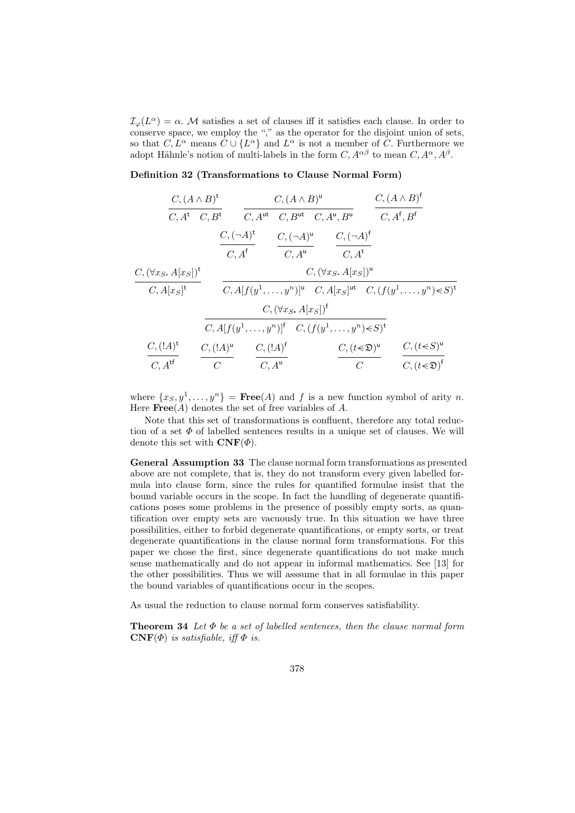$\mathcal{I}_{\varphi}(L^{\alpha}) = \alpha$ . M satisfies a set of clauses iff it satisfies each clause. In order to conserve space, we employ the "," as the operator for the disjoint union of sets, so that  $C, L^{\alpha}$  means  $C \cup \{L^{\alpha}\}\$ and  $L^{\alpha}$  is not a member of C. Furthermore we adopt Hähnle's notion of multi-labels in the form  $C, A^{\alpha\beta}$  to mean  $C, A^{\alpha}, A^{\beta}$ .

Definition 32 (Transformations to Clause Normal Form)

C,(A ∧ B) t C, A<sup>t</sup> C, B<sup>t</sup> C,(A ∧ B) u C, Aut C, But C, A<sup>u</sup> , B<sup>u</sup> C,(A ∧ B) f C, A<sup>f</sup> , B<sup>f</sup> C,(¬A) t C, A<sup>f</sup> C,(¬A) u C, A<sup>u</sup> C,(¬A) f C, A<sup>t</sup> C,(∀x<sup>S</sup> A[xS])<sup>t</sup> C, A[xS] t C,(∀x<sup>S</sup> A[xS])<sup>u</sup> C, A[f(y 1 , . . . , y<sup>n</sup> )]<sup>u</sup> C, A[xS] ut C,(f(y 1 , . . . , y<sup>n</sup> )<−S) t C,(∀x<sup>S</sup> A[xS])<sup>f</sup> C, A[f(y 1 , . . . , y<sup>n</sup> )]<sup>f</sup> C,(f(y 1 , . . . , y<sup>n</sup> )<−S) t C,(!A) t C, Atf C,(!A) u C C,(!A) f C, A<sup>u</sup> C,(t<−D) u C C,(t<−S) u C,(t<−D) f

where  $\{x_S, y^1, \ldots, y^n\}$  = **Free**(A) and f is a new function symbol of arity n. Here  $\textbf{Free}(A)$  denotes the set of free variables of A.

Note that this set of transformations is confluent, therefore any total reduction of a set  $\Phi$  of labelled sentences results in a unique set of clauses. We will denote this set with  $\mathbf{CNF}(\Phi)$ .

General Assumption 33 The clause normal form transformations as presented above are not complete, that is, they do not transform every given labelled formula into clause form, since the rules for quantified formulae insist that the bound variable occurs in the scope. In fact the handling of degenerate quantifications poses some problems in the presence of possibly empty sorts, as quantification over empty sets are vacuously true. In this situation we have three possibilities, either to forbid degenerate quantifications, or empty sorts, or treat degenerate quantifications in the clause normal form transformations. For this paper we chose the first, since degenerate quantifications do not make much sense mathematically and do not appear in informal mathematics. See [13] for the other possibilities. Thus we will asssume that in all formulae in this paper the bound variables of quantifications occur in the scopes.

As usual the reduction to clause normal form conserves satisfiability.

**Theorem 34** Let  $\Phi$  be a set of labelled sentences, then the clause normal form  $\mathbf{CNF}(\Phi)$  is satisfiable, iff  $\Phi$  is.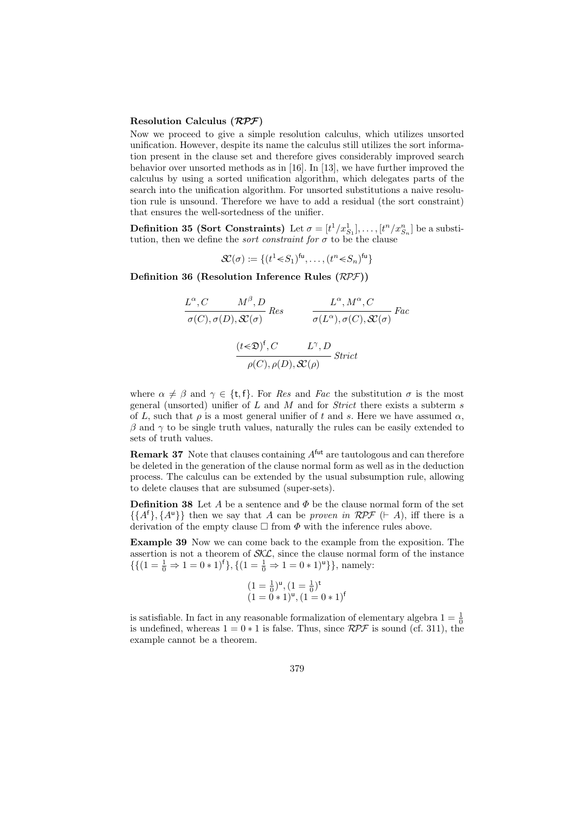### Resolution Calculus  $(\mathcal{RPF})$

Now we proceed to give a simple resolution calculus, which utilizes unsorted unification. However, despite its name the calculus still utilizes the sort information present in the clause set and therefore gives considerably improved search behavior over unsorted methods as in [16]. In [13], we have further improved the calculus by using a sorted unification algorithm, which delegates parts of the search into the unification algorithm. For unsorted substitutions a naive resolution rule is unsound. Therefore we have to add a residual (the sort constraint) that ensures the well-sortedness of the unifier.

**Definition 35 (Sort Constraints)** Let  $\sigma = [t^1/x_{S_1}^1], \ldots, [t^n/x_{S_n}^n]$  be a substitution, then we define the *sort constraint for*  $\sigma$  to be the clause

$$
\mathcal{X}(\sigma) := \{ (t^1 {\leq} S_1)^{\mathsf{fu}}, \dots, (t^n {\leq} S_n)^{\mathsf{fu}} \}
$$

Definition 36 (Resolution Inference Rules (RPF))

$$
\frac{L^{\alpha}, C \qquad M^{\beta}, D}{\sigma(C), \sigma(D), \mathcal{K}(\sigma)} Res\n\qquad\n\frac{L^{\alpha}, M^{\alpha}, C}{\sigma(L^{\alpha}), \sigma(C), \mathcal{K}(\sigma)} Fac\n\frac{(t \leq \mathfrak{D})^{\mathsf{f}}, C \qquad L^{\gamma}, D}{\rho(C), \rho(D), \mathcal{K}(\rho)} Strict\n\tag{4.12}
$$

where  $\alpha \neq \beta$  and  $\gamma \in \{\text{t}, \text{f}\}\$ . For Res and Fac the substitution  $\sigma$  is the most general (unsorted) unifier of  $L$  and  $M$  and for *Strict* there exists a subterm  $s$ of L, such that  $\rho$  is a most general unifier of t and s. Here we have assumed  $\alpha$ ,  $\beta$  and  $\gamma$  to be single truth values, naturally the rules can be easily extended to sets of truth values.

**Remark 37** Note that clauses containing  $A<sup>fut</sup>$  are tautologous and can therefore be deleted in the generation of the clause normal form as well as in the deduction process. The calculus can be extended by the usual subsumption rule, allowing to delete clauses that are subsumed (super-sets).

**Definition 38** Let A be a sentence and  $\Phi$  be the clause normal form of the set  $\{\{A^{\dagger}\}, \{A^{\dagger}\}\}\$  then we say that A can be proven in RPF ( $\vdash A$ ), iff there is a derivation of the empty clause  $\Box$  from  $\Phi$  with the inference rules above.

Example 39 Now we can come back to the example from the exposition. The assertion is not a theorem of  $\mathcal{SKL}$ , since the clause normal form of the instance  $\{ \{ (1 = \frac{1}{0} \Rightarrow 1 = 0 \times 1)^{\mathsf{f}} \}, \{ (1 = \frac{1}{0} \Rightarrow 1 = 0 \times 1)^{\mathsf{u}} \} \}, \text{ namely:}$ 

$$
(1 = \frac{1}{0})^{\mathsf{u}}, (1 = \frac{1}{0})^{\mathsf{t}}
$$
  

$$
(1 = 0 * 1)^{\mathsf{u}}, (1 = 0 * 1)^{\mathsf{f}}
$$

is satisfiable. In fact in any reasonable formalization of elementary algebra  $1 = \frac{1}{0}$ is undefined, whereas  $1 = 0 * 1$  is false. Thus, since  $\mathcal{RPF}$  is sound (cf. 311), the example cannot be a theorem.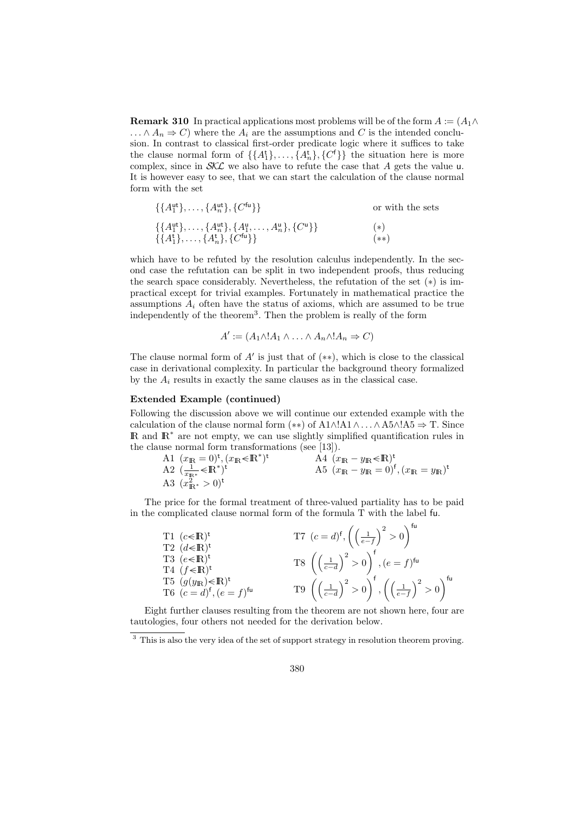**Remark 310** In practical applications most problems will be of the form  $A := (A_1 \wedge$  $\ldots \wedge A_n \Rightarrow C$  where the  $A_i$  are the assumptions and C is the intended conclusion. In contrast to classical first-order predicate logic where it suffices to take the clause normal form of  $\{\{A_1^{\mathsf{t}}\}, \ldots, \{A_n^{\mathsf{t}}\}, \{C^{\mathsf{f}}\}\}$  the situation here is more complex, since in  $\mathcal{SKL}$  we also have to refute the case that A gets the value u. It is however easy to see, that we can start the calculation of the clause normal form with the set

| $\{\{A_1^{\text{ut}}\}, \ldots, \{A_n^{\text{ut}}\}, \{C^{\text{fu}}\}\}\$                             | or with the sets |
|--------------------------------------------------------------------------------------------------------|------------------|
| $\{\{A_1^{\tt ut}\}, \ldots, \{A_n^{\tt ut}\}, \{A_1^{\tt u}, \ldots, A_n^{\tt u}\}, \{C^{\tt u}\}\}\$ | $(*)$            |
| $\{\{A_1^{\mathsf{t}}\}, \ldots, \{A_n^{\mathsf{t}}\}, \{C^{\mathsf{fu}}\}\}\$                         | $(**)$           |

which have to be refuted by the resolution calculus independently. In the second case the refutation can be split in two independent proofs, thus reducing the search space considerably. Nevertheless, the refutation of the set  $(*)$  is impractical except for trivial examples. Fortunately in mathematical practice the assumptions  $A_i$  often have the status of axioms, which are assumed to be true independently of the theorem<sup>3</sup>. Then the problem is really of the form

$$
A' := (A_1 \wedge !A_1 \wedge \ldots \wedge A_n \wedge !A_n \Rightarrow C)
$$

The clause normal form of  $A'$  is just that of  $(**)$ , which is close to the classical case in derivational complexity. In particular the background theory formalized by the  $A_i$  results in exactly the same clauses as in the classical case.

### Extended Example (continued)

Following the discussion above we will continue our extended example with the calculation of the clause normal form  $(**)$  of A1∧!A1∧...∧A5∧!A5  $\Rightarrow$  T. Since R and R<sup>\*</sup> are not empty, we can use slightly simplified quantification rules in the clause normal form transformations (see [13]).

A1 
$$
(x_{\mathbb{R}} = 0)^{\mathsf{t}}, (x_{\mathbb{R}} \in \mathbb{R}^*)^{\mathsf{t}}
$$
  
\nA2  $(\frac{1}{x_{\mathbb{R}^*}} \in \mathbb{R}^*)^{\mathsf{t}}$   
\nA3  $(x_{\mathbb{R}^*}^2 > 0)^{\mathsf{t}}$   
\nA4  $(x_{\mathbb{R}} - y_{\mathbb{R}} \in \mathbb{R})^{\mathsf{t}}$   
\nA5  $(x_{\mathbb{R}} - y_{\mathbb{R}} = 0)^{\mathsf{f}}, (x_{\mathbb{R}} = y_{\mathbb{R}})^{\mathsf{t}}$ 

The price for the formal treatment of three-valued partiality has to be paid in the complicated clause normal form of the formula T with the label fu.

| T1 $(c \in \mathbb{R})^t$<br>T2 $(d \in \mathbb{R})^t$                                  | T7 $(c = d)^f$ , $\left( \left( \frac{1}{e - f} \right)^2 > 0 \right)^{fu}$                              |
|-----------------------------------------------------------------------------------------|----------------------------------------------------------------------------------------------------------|
| $T3$ $(e \leq R)^t$<br>$T4$ $(f \in \mathbb{R})^t$                                      | T8 $\left( \left( \frac{1}{c-d} \right)^2 > 0 \right)^{\dagger}$ , $(e = f)^{\dagger}$                   |
| T5 $(g(y_{\mathbb{R}}) \in \mathbb{R})^{\mathsf{t}}$<br>T6 $(c = d)^f$ , $(e = f)^{fu}$ | T9 $\left(\left(\frac{1}{c-d}\right)^2>0\right)^f$ , $\left(\left(\frac{1}{e-f}\right)^2>0\right)^{f_u}$ |

Eight further clauses resulting from the theorem are not shown here, four are tautologies, four others not needed for the derivation below.

 $\frac{3}{3}$  This is also the very idea of the set of support strategy in resolution theorem proving.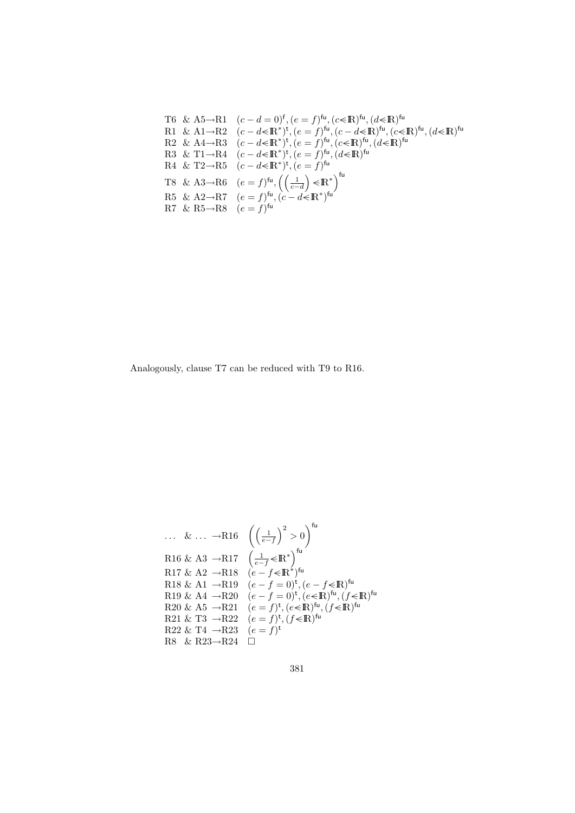|                                                  | T6 & A5 $\rightarrow$ R1 $(c-d=0)$ <sup>f</sup> , $(e=f)$ <sup>fu</sup> , $(c \in \mathbb{R})$ <sup>fu</sup> , $(d \in \mathbb{R})$ <sup>fu</sup>        |
|--------------------------------------------------|----------------------------------------------------------------------------------------------------------------------------------------------------------|
|                                                  | R1 & A1 $\rightarrow$ R2 $(c-d\in\mathbb{R}^*)^t$ , $(e=f)^{f\mu}$ , $(c-d\in\mathbb{R})^{f\mu}$ , $(c\in\mathbb{R})^{f\mu}$ , $(d\in\mathbb{R})^{f\mu}$ |
|                                                  | R2 & A4 $\rightarrow$ R3 $(c - d \in \mathbb{R}^*)^t$ , $(e = f)^{f_u}$ , $(c \in \mathbb{R})^{f_u}$ , $(d \in \mathbb{R})^{f_u}$                        |
|                                                  | R3 & T1 $\rightarrow$ R4 $(c-d \in \mathbb{R}^*)^t$ , $(e=f)^{fu}$ , $(d \in \mathbb{R})^{fu}$                                                           |
|                                                  | R4 & T2 $\rightarrow$ R5 $(c-d \in \mathbb{R}^*)^t$ , $(e=f)^{tu}$                                                                                       |
|                                                  | T8 & A3 $\rightarrow$ R6 $(e=f)^{f_u}$ , $\left(\left(\frac{1}{c-d}\right) \leq \mathbb{R}^*\right)^{f_u}$                                               |
|                                                  | R5 & A2 $\rightarrow$ R7 $(e=f)^{f\mu}$ , $(c-d\in\mathbb{R}^*)^{f\mu'}$                                                                                 |
| R7 & R5 $\rightarrow$ R8 $(e = f)$ <sup>fu</sup> |                                                                                                                                                          |

Analogously, clause T7 can be reduced with T9 to R16.

... & ... →R16 
$$
\left( \left( \frac{1}{e-f} \right)^2 > 0 \right)^{f_u}
$$
  
\nR16 & A3 →R17  $\left( \frac{1}{e-f} \le R^* \right)^{f_u}$   
\nR17 & A2 →R18  $(e - f \le R^*)^{f_u}$   
\nR18 & A1 →R19  $(e - f = 0)^t$ ,  $(e - f \le R)^{f_u}$   
\nR19 & A4 →R20  $(e - f = 0)^t$ ,  $(e \le R)^{f_u}$ ,  $(f \le R)^{f_u}$   
\nR20 & A5 →R21  $(e = f)^t$ ,  $(e \le R)^{f_u}$ ,  $(f \le R)^{f_u}$   
\nR21 & T3 →R22  $(e = f)^t$ ,  $(f \le R)^{f_u}$   
\nR22 & T4 →R23  $(e = f)^t$   
\nR8 & R23→R24  $\square$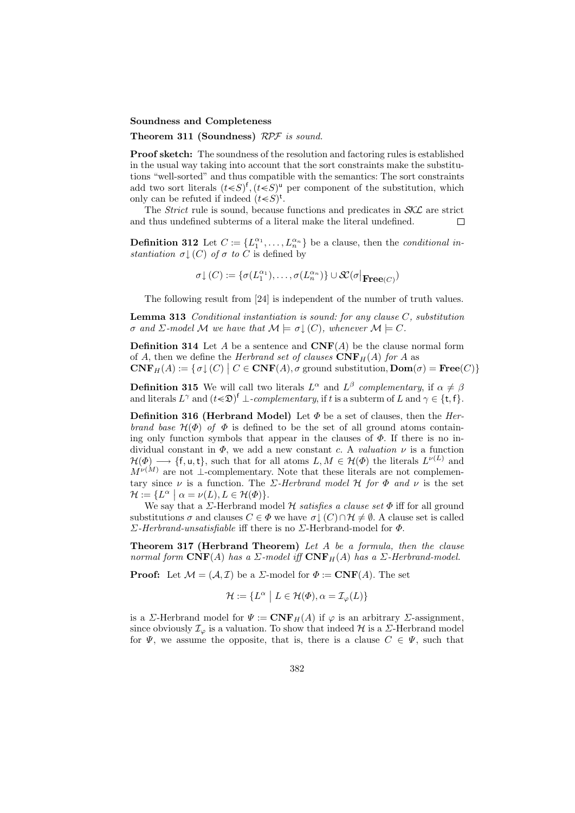### Soundness and Completeness

Theorem 311 (Soundness) RPF is sound.

Proof sketch: The soundness of the resolution and factoring rules is established in the usual way taking into account that the sort constraints make the substitutions "well-sorted" and thus compatible with the semantics: The sort constraints add two sort literals  $(t\in S)^f$ ,  $(t\in S)^u$  per component of the substitution, which only can be refuted if indeed  $(t \leq S)^t$ .

The *Strict* rule is sound, because functions and predicates in  $S\mathcal{K}\mathcal{L}$  are strict and thus undefined subterms of a literal make the literal undefined.  $\Box$ 

**Definition 312** Let  $C := \{L_1^{\alpha_1}, \ldots, L_n^{\alpha_n}\}$  be a clause, then the *conditional in*stantiation  $\sigma \downarrow (C)$  of  $\sigma$  to C is defined by

$$
\sigma\downarrow(C):=\{\sigma(L_1^{\alpha_1}),\ldots,\sigma(L_n^{\alpha_n})\}\cup \mathcal{X}(\sigma|_{\textbf{Free}(C)})
$$

The following result from [24] is independent of the number of truth values.

**Lemma 313** Conditional instantiation is sound: for any clause  $C$ , substitution  $\sigma$  and  $\Sigma$ -model M we have that  $\mathcal{M} \models \sigma \downarrow (C)$ , whenever  $\mathcal{M} \models C$ .

**Definition 314** Let A be a sentence and  $\mathbf{CNF}(A)$  be the clause normal form of A, then we define the *Herbrand set of clauses*  $\mathbf{CNF}_{H}(A)$  for A as  $\mathbf{CNF}_H(A) := \{ \sigma \downarrow (C) \mid C \in \mathbf{CNF}(A), \sigma \text{ ground substitution}, \mathbf{Dom}(\sigma) = \mathbf{Free}(C) \}$ 

**Definition 315** We will call two literals  $L^{\alpha}$  and  $L^{\beta}$  complementary, if  $\alpha \neq \beta$ and literals  $L^{\gamma}$  and  $(t \leq \mathfrak{D})^{\mathsf{f}} \perp$ -complementary, if t is a subterm of L and  $\gamma \in \{\mathsf{t},\mathsf{f}\}.$ 

**Definition 316 (Herbrand Model)** Let  $\Phi$  be a set of clauses, then the *Her*brand base  $\mathcal{H}(\Phi)$  of  $\Phi$  is defined to be the set of all ground atoms containing only function symbols that appear in the clauses of  $\Phi$ . If there is no individual constant in  $\Phi$ , we add a new constant c. A valuation  $\nu$  is a function  $\mathcal{H}(\Phi) \longrightarrow \{\mathsf{f},\mathsf{u},\mathsf{t}\},\$  such that for all atoms  $L, M \in \mathcal{H}(\Phi)$  the literals  $L^{\nu(L)}$  and  $M^{\nu(M)}$  are not ⊥-complementary. Note that these literals are not complementary since  $\nu$  is a function. The *Σ*-Herbrand model H for  $\Phi$  and  $\nu$  is the set  $\mathcal{H} := \{ L^{\alpha} \mid \alpha = \nu(L), L \in \mathcal{H}(\Phi) \}.$ 

We say that a  $\Sigma$ -Herbrand model H *satisfies a clause set*  $\Phi$  iff for all ground substitutions  $\sigma$  and clauses  $C \in \Phi$  we have  $\sigma \downarrow (C) \cap \mathcal{H} \neq \emptyset$ . A clause set is called  $\Sigma$ -Herbrand-unsatisfiable iff there is no  $\Sigma$ -Herbrand-model for  $\Phi$ .

Theorem 317 (Herbrand Theorem) Let A be a formula, then the clause normal form  $\text{CNF}(A)$  has a  $\Sigma$ -model iff  $\text{CNF}_H(A)$  has a  $\Sigma$ -Herbrand-model.

**Proof:** Let  $\mathcal{M} = (\mathcal{A}, \mathcal{I})$  be a  $\Sigma$ -model for  $\Phi := \mathbf{CNF}(A)$ . The set

$$
\mathcal{H}:=\{L^{\alpha}\ \big|\ L\in\mathcal{H}(\varPhi),\alpha=\mathcal{I}_{\varphi}(L)\}
$$

is a *Σ*-Herbrand model for  $\Psi := \mathbf{CNF}_H(A)$  if  $\varphi$  is an arbitrary *Σ*-assignment, since obviously  $\mathcal{I}_{\varphi}$  is a valuation. To show that indeed  $\mathcal{H}$  is a  $\Sigma$ -Herbrand model for  $\Psi$ , we assume the opposite, that is, there is a clause  $C \in \Psi$ , such that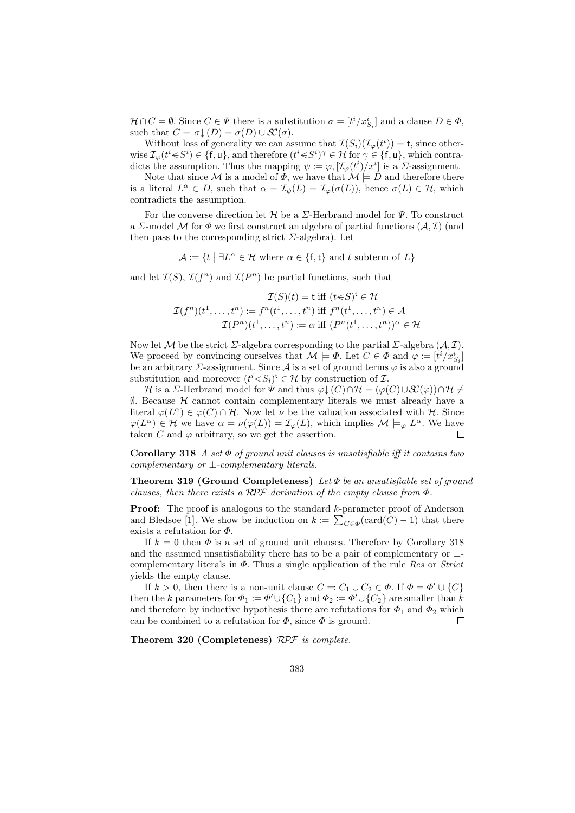$\mathcal{H} \cap C = \emptyset$ . Since  $C \in \Psi$  there is a substitution  $\sigma = [t^i / x_{S_i}^i]$  and a clause  $D \in \Phi$ , such that  $C = \sigma \downarrow (D) = \sigma(D) \cup \mathcal{K}(\sigma)$ .

Without loss of generality we can assume that  $\mathcal{I}(S_i)(\mathcal{I}_{\varphi}(t^i)) = \mathsf{t}$ , since otherwise  $\mathcal{I}_{\varphi}(t^i \leq S^i) \in \{\mathsf{f},\mathsf{u}\},\$ and therefore  $(t^i \leq S^i)^\gamma \in \mathcal{H}$  for  $\gamma \in \{\mathsf{f},\mathsf{u}\},\$  which contradicts the assumption. Thus the mapping  $\psi := \varphi$ ,  $[\mathcal{I}_{\varphi}(t^i)/x^i]$  is a *Σ*-assignment.

Note that since M is a model of  $\Phi$ , we have that  $\mathcal{M} \models D$  and therefore there is a literal  $L^{\alpha} \in D$ , such that  $\alpha = \mathcal{I}_{\psi}(L) = \mathcal{I}_{\varphi}(\sigma(L))$ , hence  $\sigma(L) \in \mathcal{H}$ , which contradicts the assumption.

For the converse direction let H be a  $\Sigma$ -Herbrand model for  $\Psi$ . To construct a  $\Sigma$ -model M for  $\Phi$  we first construct an algebra of partial functions  $(\mathcal{A}, \mathcal{I})$  (and then pass to the corresponding strict  $\Sigma$ -algebra). Let

$$
\mathcal{A} := \{ t \mid \exists L^{\alpha} \in \mathcal{H} \text{ where } \alpha \in \{ \mathsf{f}, \mathsf{t} \} \text{ and } t \text{ subterm of } L \}
$$

and let  $\mathcal{I}(S)$ ,  $\mathcal{I}(f^n)$  and  $\mathcal{I}(P^n)$  be partial functions, such that

$$
\mathcal{I}(S)(t) = \mathbf{t} \text{ iff } (t \in S)^{\mathbf{t}} \in \mathcal{H}
$$

$$
\mathcal{I}(f^n)(t^1, \dots, t^n) := f^n(t^1, \dots, t^n) \text{ iff } f^n(t^1, \dots, t^n) \in \mathcal{A}
$$

$$
\mathcal{I}(P^n)(t^1, \dots, t^n) := \alpha \text{ iff } (P^n(t^1, \dots, t^n))^{\alpha} \in \mathcal{H}
$$

Now let M be the strict  $\Sigma$ -algebra corresponding to the partial  $\Sigma$ -algebra  $(\mathcal{A}, \mathcal{I})$ . We proceed by convincing ourselves that  $\mathcal{M} \models \Phi$ . Let  $C \in \Phi$  and  $\varphi := [t^i / x_{S_i}^i]$ be an arbitrary  $\Sigma$ -assignment. Since  $\mathcal A$  is a set of ground terms  $\varphi$  is also a ground substitution and moreover  $(t^i \leq S_i)^t \in \mathcal{H}$  by construction of  $\mathcal{I}$ .

H is a Σ-Herbrand model for  $\Psi$  and thus  $\varphi \downarrow (C) \cap H = (\varphi(C) \cup \mathcal{K}(\varphi)) \cap H \neq$  $\emptyset$ . Because  $\mathcal H$  cannot contain complementary literals we must already have a literal  $\varphi(L^{\alpha}) \in \varphi(C) \cap \mathcal{H}$ . Now let  $\nu$  be the valuation associated with  $\mathcal{H}$ . Since  $\varphi(L^{\alpha}) \in \mathcal{H}$  we have  $\alpha = \nu(\varphi(L)) = \mathcal{I}_{\varphi}(L)$ , which implies  $\mathcal{M} \models_{\varphi} L^{\alpha}$ . We have taken  $C$  and  $\varphi$  arbitrary, so we get the assertion.  $\Box$ 

**Corollary 318** A set  $\Phi$  of ground unit clauses is unsatisfiable iff it contains two complementary or ⊥-complementary literals.

**Theorem 319 (Ground Completeness)** Let  $\Phi$  be an unsatisfiable set of ground clauses, then there exists a RPF derivation of the empty clause from  $\Phi$ .

**Proof:** The proof is analogous to the standard k-parameter proof of Anderson and Bledsoe [1]. We show be induction on  $k := \sum_{C \in \Phi} (\text{card}(C) - 1)$  that there exists a refutation for  $\Phi$ .

If  $k = 0$  then  $\Phi$  is a set of ground unit clauses. Therefore by Corollary 318 and the assumed unsatisfiability there has to be a pair of complementary or  $\bot$ complementary literals in  $\Phi$ . Thus a single application of the rule Res or Strict yields the empty clause.

If  $k > 0$ , then there is a non-unit clause  $C = C_1 \cup C_2 \in \Phi$ . If  $\Phi = \Phi' \cup \{C\}$ then the k parameters for  $\Phi_1 := \Phi' \cup \{C_1\}$  and  $\Phi_2 := \Phi' \cup \{C_2\}$  are smaller than k and therefore by inductive hypothesis there are refutations for  $\Phi_1$  and  $\Phi_2$  which can be combined to a refutation for  $\Phi$ , since  $\Phi$  is ground.  $\Box$ 

Theorem 320 (Completeness) RPF is complete.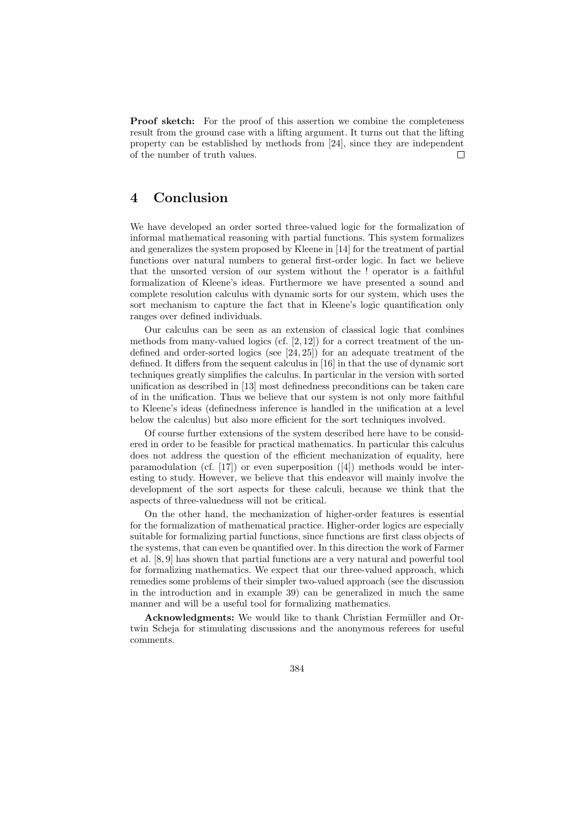Proof sketch: For the proof of this assertion we combine the completeness result from the ground case with a lifting argument. It turns out that the lifting property can be established by methods from [24], since they are independent of the number of truth values.  $\Box$ 

# 4 Conclusion

We have developed an order sorted three-valued logic for the formalization of informal mathematical reasoning with partial functions. This system formalizes and generalizes the system proposed by Kleene in [14] for the treatment of partial functions over natural numbers to general first-order logic. In fact we believe that the unsorted version of our system without the ! operator is a faithful formalization of Kleene's ideas. Furthermore we have presented a sound and complete resolution calculus with dynamic sorts for our system, which uses the sort mechanism to capture the fact that in Kleene's logic quantification only ranges over defined individuals.

Our calculus can be seen as an extension of classical logic that combines methods from many-valued logics (cf.  $[2, 12]$ ) for a correct treatment of the undefined and order-sorted logics (see [24, 25]) for an adequate treatment of the defined. It differs from the sequent calculus in [16] in that the use of dynamic sort techniques greatly simplifies the calculus. In particular in the version with sorted unification as described in [13] most definedness preconditions can be taken care of in the unification. Thus we believe that our system is not only more faithful to Kleene's ideas (definedness inference is handled in the unification at a level below the calculus) but also more efficient for the sort techniques involved.

Of course further extensions of the system described here have to be considered in order to be feasible for practical mathematics. In particular this calculus does not address the question of the efficient mechanization of equality, here paramodulation (cf.  $[17]$ ) or even superposition  $([4])$  methods would be interesting to study. However, we believe that this endeavor will mainly involve the development of the sort aspects for these calculi, because we think that the aspects of three-valuedness will not be critical.

On the other hand, the mechanization of higher-order features is essential for the formalization of mathematical practice. Higher-order logics are especially suitable for formalizing partial functions, since functions are first class objects of the systems, that can even be quantified over. In this direction the work of Farmer et al. [8, 9] has shown that partial functions are a very natural and powerful tool for formalizing mathematics. We expect that our three-valued approach, which remedies some problems of their simpler two-valued approach (see the discussion in the introduction and in example 39) can be generalized in much the same manner and will be a useful tool for formalizing mathematics.

Acknowledgments: We would like to thank Christian Fermüller and Ortwin Scheja for stimulating discussions and the anonymous referees for useful comments.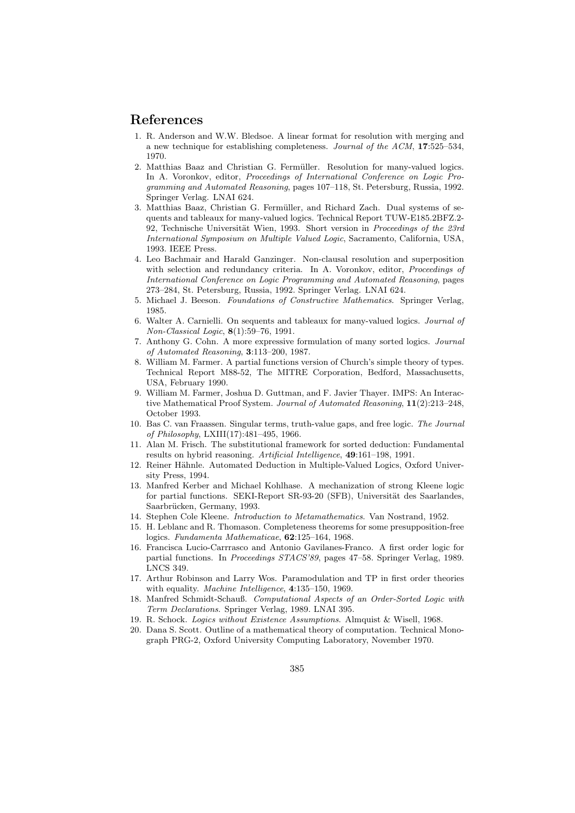## References

- 1. R. Anderson and W.W. Bledsoe. A linear format for resolution with merging and a new technique for establishing completeness. Journal of the ACM, 17:525–534, 1970.
- 2. Matthias Baaz and Christian G. Fermüller. Resolution for many-valued logics. In A. Voronkov, editor, Proceedings of International Conference on Logic Programming and Automated Reasoning, pages 107–118, St. Petersburg, Russia, 1992. Springer Verlag. LNAI 624.
- 3. Matthias Baaz, Christian G. Fermüller, and Richard Zach. Dual systems of sequents and tableaux for many-valued logics. Technical Report TUW-E185.2BFZ.2- 92, Technische Universität Wien, 1993. Short version in Proceedings of the  $23rd$ International Symposium on Multiple Valued Logic, Sacramento, California, USA, 1993. IEEE Press.
- 4. Leo Bachmair and Harald Ganzinger. Non-clausal resolution and superposition with selection and redundancy criteria. In A. Voronkov, editor, Proceedings of International Conference on Logic Programming and Automated Reasoning, pages 273–284, St. Petersburg, Russia, 1992. Springer Verlag. LNAI 624.
- 5. Michael J. Beeson. Foundations of Constructive Mathematics. Springer Verlag, 1985.
- 6. Walter A. Carnielli. On sequents and tableaux for many-valued logics. Journal of Non-Classical Logic, 8(1):59–76, 1991.
- 7. Anthony G. Cohn. A more expressive formulation of many sorted logics. Journal of Automated Reasoning, 3:113–200, 1987.
- 8. William M. Farmer. A partial functions version of Church's simple theory of types. Technical Report M88-52, The MITRE Corporation, Bedford, Massachusetts, USA, February 1990.
- 9. William M. Farmer, Joshua D. Guttman, and F. Javier Thayer. IMPS: An Interactive Mathematical Proof System. Journal of Automated Reasoning, 11(2):213–248, October 1993.
- 10. Bas C. van Fraassen. Singular terms, truth-value gaps, and free logic. The Journal of Philosophy, LXIII(17):481–495, 1966.
- 11. Alan M. Frisch. The substitutional framework for sorted deduction: Fundamental results on hybrid reasoning. Artificial Intelligence, 49:161-198, 1991.
- 12. Reiner Hähnle. Automated Deduction in Multiple-Valued Logics, Oxford University Press, 1994.
- 13. Manfred Kerber and Michael Kohlhase. A mechanization of strong Kleene logic for partial functions. SEKI-Report SR-93-20 (SFB), Universität des Saarlandes, Saarbrücken, Germany, 1993.
- 14. Stephen Cole Kleene. Introduction to Metamathematics. Van Nostrand, 1952.
- 15. H. Leblanc and R. Thomason. Completeness theorems for some presupposition-free logics. Fundamenta Mathematicae, 62:125–164, 1968.
- 16. Francisca Lucio-Carrrasco and Antonio Gavilanes-Franco. A first order logic for partial functions. In Proceedings STACS'89, pages 47–58. Springer Verlag, 1989. LNCS 349.
- 17. Arthur Robinson and Larry Wos. Paramodulation and TP in first order theories with equality. Machine Intelligence, 4:135-150, 1969.
- 18. Manfred Schmidt-Schauß. Computational Aspects of an Order-Sorted Logic with Term Declarations. Springer Verlag, 1989. LNAI 395.
- 19. R. Schock. Logics without Existence Assumptions. Almquist & Wisell, 1968.
- 20. Dana S. Scott. Outline of a mathematical theory of computation. Technical Monograph PRG-2, Oxford University Computing Laboratory, November 1970.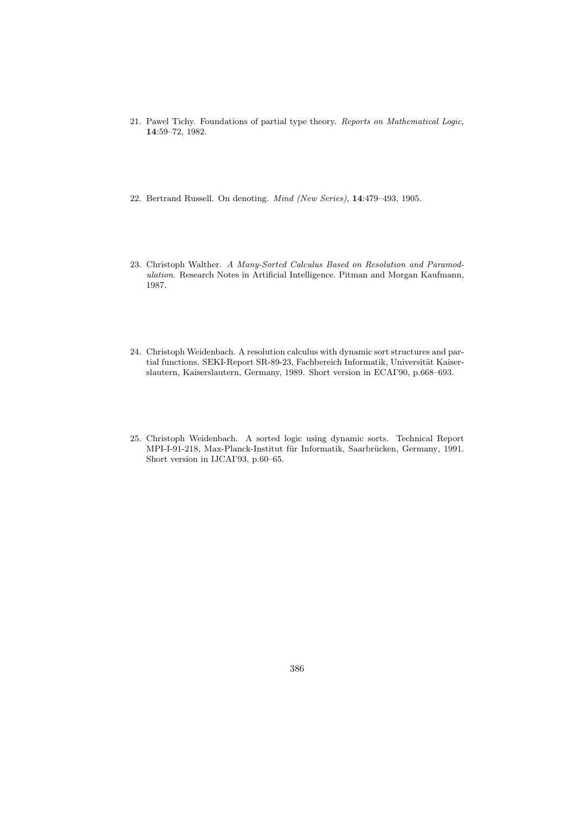- 21. Pawel Tichy. Foundations of partial type theory. Reports on Mathematical Logic, 14:59–72, 1982.
- 22. Bertrand Russell. On denoting. Mind (New Series), 14:479–493, 1905.
- 23. Christoph Walther. A Many-Sorted Calculus Based on Resolution and Paramodulation. Research Notes in Artificial Intelligence. Pitman and Morgan Kaufmann, 1987.
- 24. Christoph Weidenbach. A resolution calculus with dynamic sort structures and partial functions. SEKI-Report SR-89-23, Fachbereich Informatik, Universität Kaiserslautern, Kaiserslautern, Germany, 1989. Short version in ECAI'90, p.668–693.
- 25. Christoph Weidenbach. A sorted logic using dynamic sorts. Technical Report MPI-I-91-218, Max-Planck-Institut für Informatik, Saarbrücken, Germany, 1991. Short version in IJCAI'93, p.60–65.